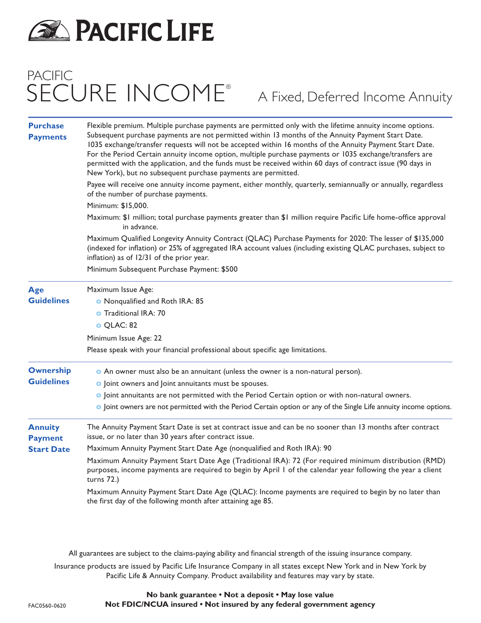

# PACIFIC SECURE INCOME®

A Fixed, Deferred Income Annuity

| <b>Purchase</b><br><b>Payments</b>                                            | Flexible premium. Multiple purchase payments are permitted only with the lifetime annuity income options.<br>Subsequent purchase payments are not permitted within 13 months of the Annuity Payment Start Date.<br>1035 exchange/transfer requests will not be accepted within 16 months of the Annuity Payment Start Date.<br>For the Period Certain annuity income option, multiple purchase payments or 1035 exchange/transfers are<br>permitted with the application, and the funds must be received within 60 days of contract issue (90 days in<br>New York), but no subsequent purchase payments are permitted.<br>Payee will receive one annuity income payment, either monthly, quarterly, semiannually or annually, regardless<br>of the number of purchase payments.<br>Minimum: \$15,000.<br>Maximum: \$1 million; total purchase payments greater than \$1 million require Pacific Life home-office approval<br>in advance.<br>Maximum Qualified Longevity Annuity Contract (QLAC) Purchase Payments for 2020: The lesser of \$135,000<br>(indexed for inflation) or 25% of aggregated IRA account values (including existing QLAC purchases, subject to<br>inflation) as of 12/31 of the prior year. |                                            |                                 |
|-------------------------------------------------------------------------------|--------------------------------------------------------------------------------------------------------------------------------------------------------------------------------------------------------------------------------------------------------------------------------------------------------------------------------------------------------------------------------------------------------------------------------------------------------------------------------------------------------------------------------------------------------------------------------------------------------------------------------------------------------------------------------------------------------------------------------------------------------------------------------------------------------------------------------------------------------------------------------------------------------------------------------------------------------------------------------------------------------------------------------------------------------------------------------------------------------------------------------------------------------------------------------------------------------------------|--------------------------------------------|---------------------------------|
|                                                                               |                                                                                                                                                                                                                                                                                                                                                                                                                                                                                                                                                                                                                                                                                                                                                                                                                                                                                                                                                                                                                                                                                                                                                                                                                    | Minimum Subsequent Purchase Payment: \$500 |                                 |
|                                                                               |                                                                                                                                                                                                                                                                                                                                                                                                                                                                                                                                                                                                                                                                                                                                                                                                                                                                                                                                                                                                                                                                                                                                                                                                                    | Age                                        | Maximum Issue Age:              |
|                                                                               |                                                                                                                                                                                                                                                                                                                                                                                                                                                                                                                                                                                                                                                                                                                                                                                                                                                                                                                                                                                                                                                                                                                                                                                                                    | <b>Guidelines</b>                          | O Nonqualified and Roth IRA: 85 |
|                                                                               |                                                                                                                                                                                                                                                                                                                                                                                                                                                                                                                                                                                                                                                                                                                                                                                                                                                                                                                                                                                                                                                                                                                                                                                                                    |                                            | <b>o</b> Traditional IRA: 70    |
|                                                                               | O QLAC: 82                                                                                                                                                                                                                                                                                                                                                                                                                                                                                                                                                                                                                                                                                                                                                                                                                                                                                                                                                                                                                                                                                                                                                                                                         |                                            |                                 |
| Minimum Issue Age: 22                                                         |                                                                                                                                                                                                                                                                                                                                                                                                                                                                                                                                                                                                                                                                                                                                                                                                                                                                                                                                                                                                                                                                                                                                                                                                                    |                                            |                                 |
| Please speak with your financial professional about specific age limitations. |                                                                                                                                                                                                                                                                                                                                                                                                                                                                                                                                                                                                                                                                                                                                                                                                                                                                                                                                                                                                                                                                                                                                                                                                                    |                                            |                                 |
| <b>Ownership</b>                                                              | • An owner must also be an annuitant (unless the owner is a non-natural person).                                                                                                                                                                                                                                                                                                                                                                                                                                                                                                                                                                                                                                                                                                                                                                                                                                                                                                                                                                                                                                                                                                                                   |                                            |                                 |
| <b>Guidelines</b>                                                             | o Joint owners and Joint annuitants must be spouses.                                                                                                                                                                                                                                                                                                                                                                                                                                                                                                                                                                                                                                                                                                                                                                                                                                                                                                                                                                                                                                                                                                                                                               |                                            |                                 |
|                                                                               | o Joint annuitants are not permitted with the Period Certain option or with non-natural owners.                                                                                                                                                                                                                                                                                                                                                                                                                                                                                                                                                                                                                                                                                                                                                                                                                                                                                                                                                                                                                                                                                                                    |                                            |                                 |
|                                                                               | o Joint owners are not permitted with the Period Certain option or any of the Single Life annuity income options.                                                                                                                                                                                                                                                                                                                                                                                                                                                                                                                                                                                                                                                                                                                                                                                                                                                                                                                                                                                                                                                                                                  |                                            |                                 |
| <b>Annuity</b><br><b>Payment</b>                                              | The Annuity Payment Start Date is set at contract issue and can be no sooner than 13 months after contract<br>issue, or no later than 30 years after contract issue.                                                                                                                                                                                                                                                                                                                                                                                                                                                                                                                                                                                                                                                                                                                                                                                                                                                                                                                                                                                                                                               |                                            |                                 |
| <b>Start Date</b>                                                             | Maximum Annuity Payment Start Date Age (nonqualified and Roth IRA): 90                                                                                                                                                                                                                                                                                                                                                                                                                                                                                                                                                                                                                                                                                                                                                                                                                                                                                                                                                                                                                                                                                                                                             |                                            |                                 |
|                                                                               | Maximum Annuity Payment Start Date Age (Traditional IRA): 72 (For required minimum distribution (RMD)<br>purposes, income payments are required to begin by April 1 of the calendar year following the year a client<br>turns $72.$ )                                                                                                                                                                                                                                                                                                                                                                                                                                                                                                                                                                                                                                                                                                                                                                                                                                                                                                                                                                              |                                            |                                 |
|                                                                               | Maximum Annuity Payment Start Date Age (QLAC): Income payments are required to begin by no later than<br>the first day of the following month after attaining age 85.                                                                                                                                                                                                                                                                                                                                                                                                                                                                                                                                                                                                                                                                                                                                                                                                                                                                                                                                                                                                                                              |                                            |                                 |
|                                                                               |                                                                                                                                                                                                                                                                                                                                                                                                                                                                                                                                                                                                                                                                                                                                                                                                                                                                                                                                                                                                                                                                                                                                                                                                                    |                                            |                                 |

All guarantees are subject to the claims-paying ability and financial strength of the issuing insurance company.

Insurance products are issued by Pacific Life Insurance Company in all states except New York and in New York by Pacific Life & Annuity Company. Product availability and features may vary by state.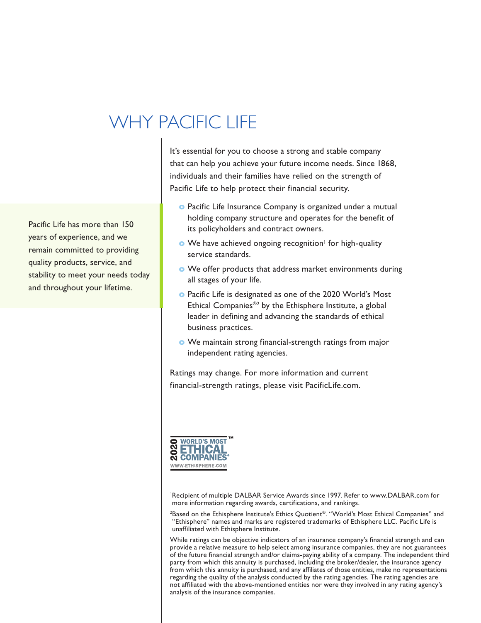# WHY PACIFIC LIFE

that can help you achieve your future income needs. Since 1868, individuals and their families have relied on the strength of Pacific Life to help protect their financial security.

It's essential for you to choose a strong and stable company

- **o** Pacific Life Insurance Company is organized under a mutual holding company structure and operates for the benefit of its policyholders and contract owners.
- **o** We have achieved ongoing recognition<sup>1</sup> for high-quality service standards.
- **o** We offer products that address market environments during all stages of your life.
- **o** Pacific Life is designated as one of the 2020 World's Most Ethical Companies®2 by the Ethisphere Institute, a global leader in defining and advancing the standards of ethical business practices.
- **o** We maintain strong financial-strength ratings from major independent rating agencies.

Ratings may change. For more information and current financial-strength ratings, please visit PacificLife.com.



<sup>1</sup>Recipient of multiple DALBAR Service Awards since 1997. Refer to www.DALBAR.com for more information regarding awards, certifications, and rankings.

2 Based on the Ethisphere Institute's Ethics Quotient®. "World's Most Ethical Companies" and "Ethisphere" names and marks are registered trademarks of Ethisphere LLC. Pacific Life is unaffiliated with Ethisphere Institute.

While ratings can be objective indicators of an insurance company's financial strength and can provide a relative measure to help select among insurance companies, they are not guarantees of the future financial strength and/or claims-paying ability of a company. The independent third party from which this annuity is purchased, including the broker/dealer, the insurance agency from which this annuity is purchased, and any affiliates of those entities, make no representations regarding the quality of the analysis conducted by the rating agencies. The rating agencies are not affiliated with the above-mentioned entities nor were they involved in any rating agency's analysis of the insurance companies.

Pacific Life has more than 150 years of experience, and we remain committed to providing quality products, service, and stability to meet your needs today and throughout your lifetime.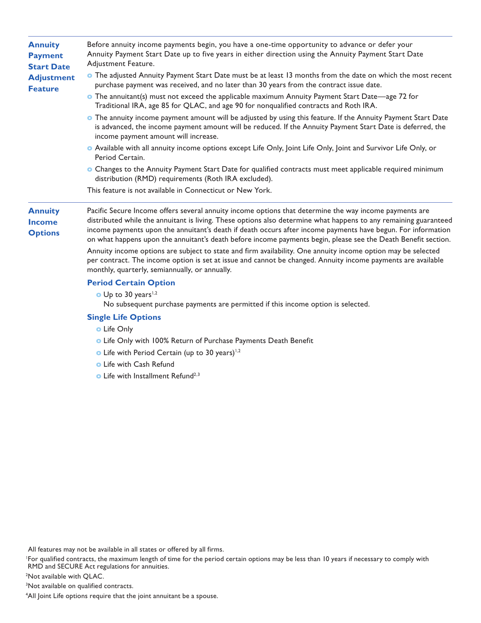| <b>Annuity</b><br><b>Payment</b><br><b>Start Date</b><br><b>Adjustment</b><br><b>Feature</b> | Before annuity income payments begin, you have a one-time opportunity to advance or defer your<br>Annuity Payment Start Date up to five years in either direction using the Annuity Payment Start Date<br>Adjustment Feature.                                                                                                                                                                                                                                |
|----------------------------------------------------------------------------------------------|--------------------------------------------------------------------------------------------------------------------------------------------------------------------------------------------------------------------------------------------------------------------------------------------------------------------------------------------------------------------------------------------------------------------------------------------------------------|
|                                                                                              | • The adjusted Annuity Payment Start Date must be at least 13 months from the date on which the most recent<br>purchase payment was received, and no later than 30 years from the contract issue date.                                                                                                                                                                                                                                                       |
|                                                                                              | • The annuitant(s) must not exceed the applicable maximum Annuity Payment Start Date—age 72 for<br>Traditional IRA, age 85 for QLAC, and age 90 for nonqualified contracts and Roth IRA.                                                                                                                                                                                                                                                                     |
|                                                                                              | • The annuity income payment amount will be adjusted by using this feature. If the Annuity Payment Start Date<br>is advanced, the income payment amount will be reduced. If the Annuity Payment Start Date is deferred, the<br>income payment amount will increase.                                                                                                                                                                                          |
|                                                                                              | • Available with all annuity income options except Life Only, Joint Life Only, Joint and Survivor Life Only, or<br>Period Certain.                                                                                                                                                                                                                                                                                                                           |
|                                                                                              | • Changes to the Annuity Payment Start Date for qualified contracts must meet applicable required minimum<br>distribution (RMD) requirements (Roth IRA excluded).                                                                                                                                                                                                                                                                                            |
|                                                                                              | This feature is not available in Connecticut or New York.                                                                                                                                                                                                                                                                                                                                                                                                    |
| <b>Annuity</b><br><b>Income</b><br><b>Options</b>                                            | Pacific Secure Income offers several annuity income options that determine the way income payments are<br>distributed while the annuitant is living. These options also determine what happens to any remaining guaranteed<br>income payments upon the annuitant's death if death occurs after income payments have begun. For information<br>on what happens upon the annuitant's death before income payments begin, please see the Death Benefit section. |
|                                                                                              | Annuity income options are subject to state and firm availability. One annuity income option may be selected<br>per contract. The income option is set at issue and cannot be changed. Annuity income payments are available<br>monthly, quarterly, semiannually, or annually.                                                                                                                                                                               |
|                                                                                              | <b>Period Certain Option</b>                                                                                                                                                                                                                                                                                                                                                                                                                                 |
|                                                                                              | $\bullet$ Up to 30 years <sup>1,2</sup><br>No subsequent purchase payments are permitted if this income option is selected.                                                                                                                                                                                                                                                                                                                                  |
|                                                                                              | <b>Single Life Options</b>                                                                                                                                                                                                                                                                                                                                                                                                                                   |
|                                                                                              | <b>o</b> Life Only                                                                                                                                                                                                                                                                                                                                                                                                                                           |
|                                                                                              | <b>O</b> Life Only with 100% Return of Purchase Payments Death Benefit                                                                                                                                                                                                                                                                                                                                                                                       |
|                                                                                              | • Life with Period Certain (up to 30 years) <sup>1,2</sup>                                                                                                                                                                                                                                                                                                                                                                                                   |
|                                                                                              | <b>o</b> Life with Cash Refund                                                                                                                                                                                                                                                                                                                                                                                                                               |
|                                                                                              | $\bullet$ Life with Installmant Defund $2.3$                                                                                                                                                                                                                                                                                                                                                                                                                 |

**o** Life with Installment Refund<sup>4</sup>

All features may not be available in all states or offered by all firms.

1 For qualified contracts, the maximum length of time for the period certain options may be less than 10 years if necessary to comply with RMD and SECURE Act regulations for annuities.

2 Not available with QLAC.

3 Not available on qualified contracts.

<sup>4</sup> All Joint Life options require that the joint annuitant be a spouse.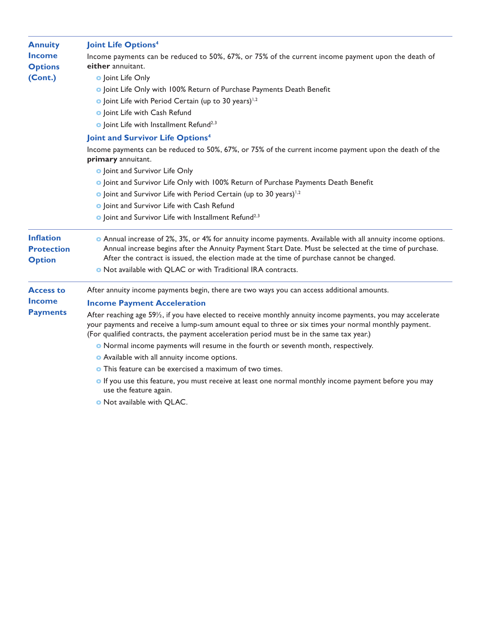| <b>Annuity</b><br><b>Income</b><br><b>Options</b><br>(Cont.) | <b>Joint Life Options4</b>                                                                                                                                                                                                                                                                                                                                                         |
|--------------------------------------------------------------|------------------------------------------------------------------------------------------------------------------------------------------------------------------------------------------------------------------------------------------------------------------------------------------------------------------------------------------------------------------------------------|
|                                                              | Income payments can be reduced to 50%, 67%, or 75% of the current income payment upon the death of<br>either annuitant.                                                                                                                                                                                                                                                            |
|                                                              | <b>o</b> Joint Life Only                                                                                                                                                                                                                                                                                                                                                           |
|                                                              | o Joint Life Only with 100% Return of Purchase Payments Death Benefit                                                                                                                                                                                                                                                                                                              |
|                                                              | $\bullet$ Joint Life with Period Certain (up to 30 years) <sup>1,2</sup>                                                                                                                                                                                                                                                                                                           |
|                                                              | o Joint Life with Cash Refund                                                                                                                                                                                                                                                                                                                                                      |
|                                                              | <b>o</b> Joint Life with Installment Refund <sup>2,3</sup>                                                                                                                                                                                                                                                                                                                         |
|                                                              | Joint and Survivor Life Options <sup>4</sup>                                                                                                                                                                                                                                                                                                                                       |
|                                                              | Income payments can be reduced to 50%, 67%, or 75% of the current income payment upon the death of the<br>primary annuitant.                                                                                                                                                                                                                                                       |
|                                                              | o Joint and Survivor Life Only                                                                                                                                                                                                                                                                                                                                                     |
|                                                              | <b>O</b> Joint and Survivor Life Only with 100% Return of Purchase Payments Death Benefit                                                                                                                                                                                                                                                                                          |
|                                                              | o Joint and Survivor Life with Period Certain (up to 30 years) <sup>1,2</sup>                                                                                                                                                                                                                                                                                                      |
|                                                              | o Joint and Survivor Life with Cash Refund                                                                                                                                                                                                                                                                                                                                         |
|                                                              | o Joint and Survivor Life with Installment Refund <sup>2,3</sup>                                                                                                                                                                                                                                                                                                                   |
| <b>Inflation</b><br><b>Protection</b><br><b>Option</b>       | • Annual increase of 2%, 3%, or 4% for annuity income payments. Available with all annuity income options.<br>Annual increase begins after the Annuity Payment Start Date. Must be selected at the time of purchase.<br>After the contract is issued, the election made at the time of purchase cannot be changed.<br>. Not available with QLAC or with Traditional IRA contracts. |
| <b>Access to</b>                                             |                                                                                                                                                                                                                                                                                                                                                                                    |
| <b>Income</b>                                                | After annuity income payments begin, there are two ways you can access additional amounts.                                                                                                                                                                                                                                                                                         |
|                                                              | <b>Income Payment Acceleration</b>                                                                                                                                                                                                                                                                                                                                                 |
| <b>Payments</b>                                              | After reaching age 59 <sup>/2</sup> , if you have elected to receive monthly annuity income payments, you may accelerate<br>your payments and receive a lump-sum amount equal to three or six times your normal monthly payment.<br>(For qualified contracts, the payment acceleration period must be in the same tax year.)                                                       |
|                                                              | • Normal income payments will resume in the fourth or seventh month, respectively.                                                                                                                                                                                                                                                                                                 |
|                                                              | • Available with all annuity income options.                                                                                                                                                                                                                                                                                                                                       |
|                                                              | <b>O</b> This feature can be exercised a maximum of two times.                                                                                                                                                                                                                                                                                                                     |
|                                                              | o If you use this feature, you must receive at least one normal monthly income payment before you may<br>use the feature again.                                                                                                                                                                                                                                                    |

**o** Not available with QLAC.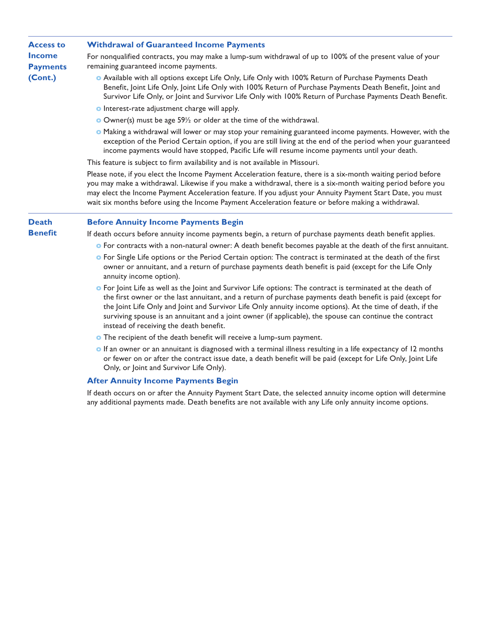### **Access to Income Payments (Cont.) Withdrawal of Guaranteed Income Payments** For nonqualified contracts, you may make a lump-sum withdrawal of up to 100% of the present value of your remaining guaranteed income payments. **o** Available with all options except Life Only, Life Only with 100% Return of Purchase Payments Death Benefit, Joint Life Only, Joint Life Only with 100% Return of Purchase Payments Death Benefit, Joint and Survivor Life Only, or Joint and Survivor Life Only with 100% Return of Purchase Payments Death Benefit. **o** Interest-rate adjustment charge will apply. **o** Owner(s) must be age 59½ or older at the time of the withdrawal. **o** Making a withdrawal will lower or may stop your remaining guaranteed income payments. However, with the exception of the Period Certain option, if you are still living at the end of the period when your guaranteed income payments would have stopped, Pacific Life will resume income payments until your death.

This feature is subject to firm availability and is not available in Missouri.

Please note, if you elect the Income Payment Acceleration feature, there is a six-month waiting period before you may make a withdrawal. Likewise if you make a withdrawal, there is a six-month waiting period before you may elect the Income Payment Acceleration feature. If you adjust your Annuity Payment Start Date, you must wait six months before using the Income Payment Acceleration feature or before making a withdrawal.

#### **Death Before Annuity Income Payments Begin**

**Benefit**

If death occurs before annuity income payments begin, a return of purchase payments death benefit applies.

- **o** For contracts with a non-natural owner: A death benefit becomes payable at the death of the first annuitant.
- **o** For Single Life options or the Period Certain option: The contract is terminated at the death of the first owner or annuitant, and a return of purchase payments death benefit is paid (except for the Life Only annuity income option).
- **o** For Joint Life as well as the Joint and Survivor Life options: The contract is terminated at the death of the first owner or the last annuitant, and a return of purchase payments death benefit is paid (except for the Joint Life Only and Joint and Survivor Life Only annuity income options). At the time of death, if the surviving spouse is an annuitant and a joint owner (if applicable), the spouse can continue the contract instead of receiving the death benefit.
- **o** The recipient of the death benefit will receive a lump-sum payment.
- **o** If an owner or an annuitant is diagnosed with a terminal illness resulting in a life expectancy of 12 months or fewer on or after the contract issue date, a death benefit will be paid (except for Life Only, Joint Life Only, or Joint and Survivor Life Only).

### **After Annuity Income Payments Begin**

If death occurs on or after the Annuity Payment Start Date, the selected annuity income option will determine any additional payments made. Death benefits are not available with any Life only annuity income options.